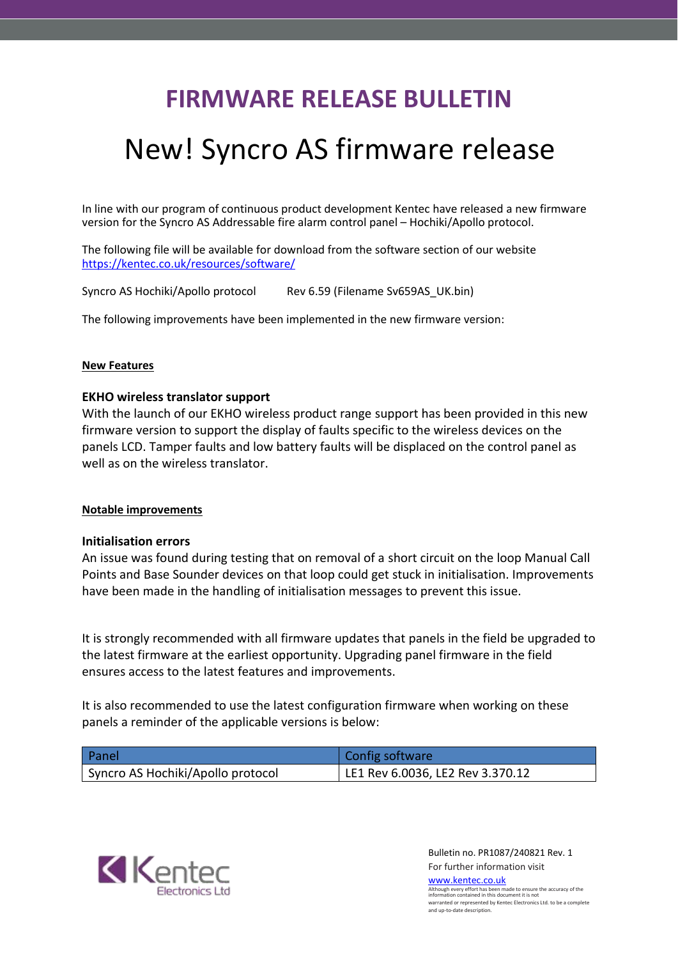## **FIRMWARE RELEASE BULLETIN**

# New! Syncro AS firmware release

In line with our program of continuous product development Kentec have released a new firmware version for the Syncro AS Addressable fire alarm control panel – Hochiki/Apollo protocol.

The following file will be available for download from the software section of our website <https://kentec.co.uk/resources/software/>

Syncro AS Hochiki/Apollo protocol Rev 6.59 (Filename Sv659AS\_UK.bin)

The following improvements have been implemented in the new firmware version:

### **New Features**

### **EKHO wireless translator support**

With the launch of our EKHO wireless product range support has been provided in this new firmware version to support the display of faults specific to the wireless devices on the panels LCD. Tamper faults and low battery faults will be displaced on the control panel as well as on the wireless translator.

#### **Notable improvements**

#### **Initialisation errors**

An issue was found during testing that on removal of a short circuit on the loop Manual Call Points and Base Sounder devices on that loop could get stuck in initialisation. Improvements have been made in the handling of initialisation messages to prevent this issue.

It is strongly recommended with all firmware updates that panels in the field be upgraded to the latest firmware at the earliest opportunity. Upgrading panel firmware in the field ensures access to the latest features and improvements.

It is also recommended to use the latest configuration firmware when working on these panels a reminder of the applicable versions is below:

| Panel                             | Config software                  |
|-----------------------------------|----------------------------------|
| Syncro AS Hochiki/Apollo protocol | LE1 Rev 6.0036, LE2 Rev 3.370.12 |



Bulletin no. PR1087/240821 Rev. 1 For further information visit [www.kentec.co.uk](http://www.kentec.co.uk/)

Although every effort has been made to ensure the accuracy of the information contained in this document it is not warranted or represented by Kentec Electronics Ltd. to be a complete and up-to-date description.